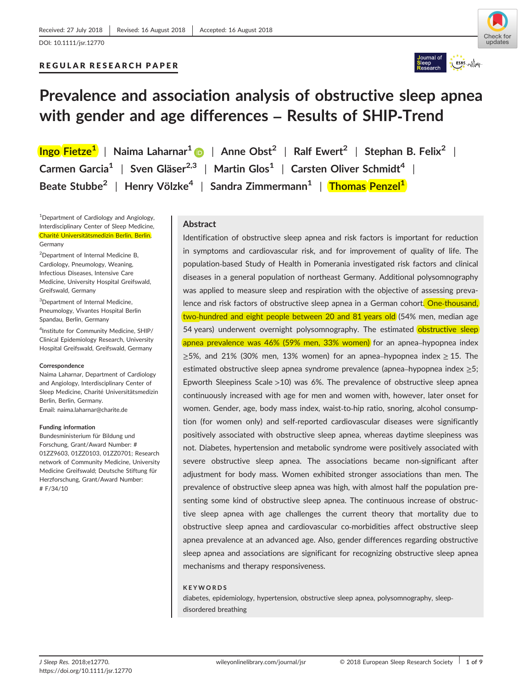# REGULAR RESEARCH PAPER





# **Prevalence and association analysis of obstructive sleep apnea with gender and age differences – Results of SHIP‐Trend**

**Ingo Fietze<sup>1</sup>** | **Naima Laharnar[1](http://orcid.org/0000-0001-7484-7747)** | **Anne Obst<sup>2</sup>** | **Ralf Ewert<sup>2</sup>** | **Stephan B. Felix<sup>2</sup>** | **Carmen Garcia<sup>1</sup>** | **Sven Gläser2,3** | **Martin Glos<sup>1</sup>** | **Carsten Oliver Schmidt4** | **Beate Stubbe<sup>2</sup>** | **Henry Völzke<sup>4</sup>** | **Sandra Zimmermann<sup>1</sup>** | **Thomas Penzel1**

<sup>1</sup>Department of Cardiology and Angiology, Interdisciplinary Center of Sleep Medicine, Charité Universitätsmedizin Berlin, Berlin, Germany

<sup>2</sup>Department of Internal Medicine B, Cardiology, Pneumology, Weaning, Infectious Diseases, Intensive Care Medicine, University Hospital Greifswald, Greifswald, Germany

<sup>3</sup>Department of Internal Medicine, Pneumology, Vivantes Hospital Berlin Spandau, Berlin, Germany

4 Institute for Community Medicine, SHIP/ Clinical Epidemiology Research, University Hospital Greifswald, Greifswald, Germany

#### **Correspondence**

Naima Laharnar, Department of Cardiology and Angiology, Interdisciplinary Center of Sleep Medicine, Charité Universitätsmedizin Berlin, Berlin, Germany. Email: naima.laharnar@charite.de

#### **Funding information**

Bundesministerium für Bildung und Forschung, Grant/Award Number: # 01ZZ9603, 01ZZ0103, 01ZZ0701; Research network of Community Medicine, University Medicine Greifswald; Deutsche Stiftung für Herzforschung, Grant/Award Number: # F/34/10

## **Abstract**

Identification of obstructive sleep apnea and risk factors is important for reduction in symptoms and cardiovascular risk, and for improvement of quality of life. The population‐based Study of Health in Pomerania investigated risk factors and clinical diseases in a general population of northeast Germany. Additional polysomnography was applied to measure sleep and respiration with the objective of assessing prevalence and risk factors of obstructive sleep apnea in a German cohort. One-thousand, two-hundred and eight people between 20 and 81 years old (54% men, median age 54 years) underwent overnight polysomnography. The estimated obstructive sleep apnea prevalence was 46% (59% men, 33% women) for an apnea–hypopnea index  $\geq$ 5%, and 21% (30% men, 13% women) for an apnea–hypopnea index  $\geq$  15. The estimated obstructive sleep apnea syndrome prevalence (apnea–hypopnea index ≥5; Epworth Sleepiness Scale >10) was 6%. The prevalence of obstructive sleep apnea continuously increased with age for men and women with, however, later onset for women. Gender, age, body mass index, waist-to-hip ratio, snoring, alcohol consumption (for women only) and self‐reported cardiovascular diseases were significantly positively associated with obstructive sleep apnea, whereas daytime sleepiness was not. Diabetes, hypertension and metabolic syndrome were positively associated with severe obstructive sleep apnea. The associations became non‐significant after adjustment for body mass. Women exhibited stronger associations than men. The prevalence of obstructive sleep apnea was high, with almost half the population presenting some kind of obstructive sleep apnea. The continuous increase of obstructive sleep apnea with age challenges the current theory that mortality due to obstructive sleep apnea and cardiovascular co‐morbidities affect obstructive sleep apnea prevalence at an advanced age. Also, gender differences regarding obstructive sleep apnea and associations are significant for recognizing obstructive sleep apnea mechanisms and therapy responsiveness.

#### **KEYWORDS**

diabetes, epidemiology, hypertension, obstructive sleep apnea, polysomnography, sleep‐ disordered breathing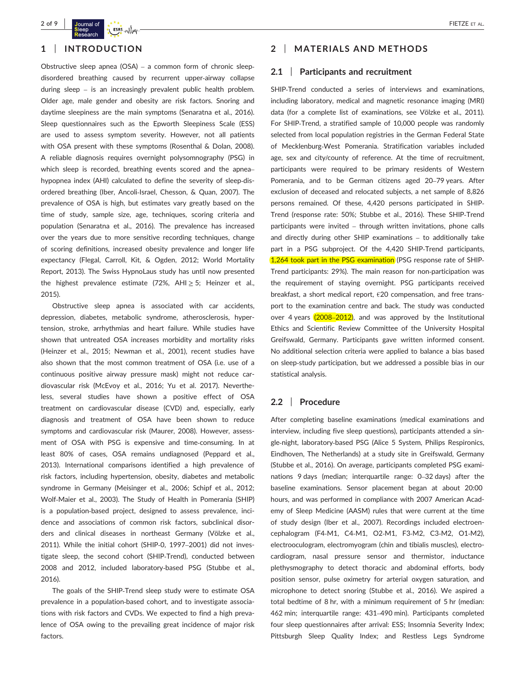

# **1** | **INTRODUCTION**

Obstructive sleep apnea (OSA) – a common form of chronic sleep‐ disordered breathing caused by recurrent upper‐airway collapse during sleep – is an increasingly prevalent public health problem. Older age, male gender and obesity are risk factors. Snoring and daytime sleepiness are the main symptoms (Senaratna et al., 2016). Sleep questionnaires such as the Epworth Sleepiness Scale (ESS) are used to assess symptom severity. However, not all patients with OSA present with these symptoms (Rosenthal & Dolan, 2008). A reliable diagnosis requires overnight polysomnography (PSG) in which sleep is recorded, breathing events scored and the apnea– hypopnea index (AHI) calculated to define the severity of sleep‐disordered breathing (Iber, Ancoli‐Israel, Chesson, & Quan, 2007). The prevalence of OSA is high, but estimates vary greatly based on the time of study, sample size, age, techniques, scoring criteria and population (Senaratna et al., 2016). The prevalence has increased over the years due to more sensitive recording techniques, change of scoring definitions, increased obesity prevalence and longer life expectancy (Flegal, Carroll, Kit, & Ogden, 2012; World Mortality Report, 2013). The Swiss HypnoLaus study has until now presented the highest prevalence estimate (72%, AHI  $\geq$  5; Heinzer et al., 2015).

Obstructive sleep apnea is associated with car accidents, depression, diabetes, metabolic syndrome, atherosclerosis, hypertension, stroke, arrhythmias and heart failure. While studies have shown that untreated OSA increases morbidity and mortality risks (Heinzer et al., 2015; Newman et al., 2001), recent studies have also shown that the most common treatment of OSA (i.e. use of a continuous positive airway pressure mask) might not reduce cardiovascular risk (McEvoy et al., 2016; Yu et al. 2017). Nevertheless, several studies have shown a positive effect of OSA treatment on cardiovascular disease (CVD) and, especially, early diagnosis and treatment of OSA have been shown to reduce symptoms and cardiovascular risk (Maurer, 2008). However, assessment of OSA with PSG is expensive and time‐consuming. In at least 80% of cases, OSA remains undiagnosed (Peppard et al., 2013). International comparisons identified a high prevalence of risk factors, including hypertension, obesity, diabetes and metabolic syndrome in Germany (Meisinger et al., 2006; Schipf et al., 2012; Wolf‐Maier et al., 2003). The Study of Health in Pomerania (SHIP) is a population‐based project, designed to assess prevalence, incidence and associations of common risk factors, subclinical disorders and clinical diseases in northeast Germany (Völzke et al., 2011). While the initial cohort (SHIP‐0, 1997–2001) did not investigate sleep, the second cohort (SHIP‐Trend), conducted between 2008 and 2012, included laboratory‐based PSG (Stubbe et al., 2016).

The goals of the SHIP-Trend sleep study were to estimate OSA prevalence in a population‐based cohort, and to investigate associations with risk factors and CVDs. We expected to find a high prevalence of OSA owing to the prevailing great incidence of major risk factors.

# **2** | **MATERIALS AND METHODS**

## **2.1** | **Participants and recruitment**

SHIP-Trend conducted a series of interviews and examinations, including laboratory, medical and magnetic resonance imaging (MRI) data (for a complete list of examinations, see Völzke et al., 2011). For SHIP‐Trend, a stratified sample of 10,000 people was randomly selected from local population registries in the German Federal State of Mecklenburg‐West Pomerania. Stratification variables included age, sex and city/county of reference. At the time of recruitment, participants were required to be primary residents of Western Pomerania, and to be German citizens aged 20–79 years. After exclusion of deceased and relocated subjects, a net sample of 8,826 persons remained. Of these, 4,420 persons participated in SHIP‐ Trend (response rate: 50%; Stubbe et al., 2016). These SHIP‐Trend participants were invited – through written invitations, phone calls and directly during other SHIP examinations – to additionally take part in a PSG subproject. Of the 4,420 SHIP-Trend participants, 1,264 took part in the PSG examination (PSG response rate of SHIP-Trend participants: 29%). The main reason for non‐participation was the requirement of staying overnight. PSG participants received breakfast, a short medical report, €20 compensation, and free transport to the examination centre and back. The study was conducted over 4 years (2008–2012), and was approved by the Institutional Ethics and Scientific Review Committee of the University Hospital Greifswald, Germany. Participants gave written informed consent. No additional selection criteria were applied to balance a bias based on sleep‐study participation, but we addressed a possible bias in our statistical analysis.

# **2.2** | **Procedure**

After completing baseline examinations (medical examinations and interview, including five sleep questions), participants attended a single-night, laboratory-based PSG (Alice 5 System, Philips Respironics, Eindhoven, The Netherlands) at a study site in Greifswald, Germany (Stubbe et al., 2016). On average, participants completed PSG examinations 9 days (median; interquartile range: 0–32 days) after the baseline examinations. Sensor placement began at about 20:00 hours, and was performed in compliance with 2007 American Academy of Sleep Medicine (AASM) rules that were current at the time of study design (Iber et al., 2007). Recordings included electroencephalogram (F4‐M1, C4‐M1, O2‐M1, F3‐M2, C3‐M2, O1‐M2), electrooculogram, electromyogram (chin and tibialis muscles), electrocardiogram, nasal pressure sensor and thermistor, inductance plethysmography to detect thoracic and abdominal efforts, body position sensor, pulse oximetry for arterial oxygen saturation, and microphone to detect snoring (Stubbe et al., 2016). We aspired a total bedtime of 8 hr, with a minimum requirement of 5 hr (median: 462 min; interquartile range: 431–490 min). Participants completed four sleep questionnaires after arrival: ESS; Insomnia Severity Index; Pittsburgh Sleep Quality Index; and Restless Legs Syndrome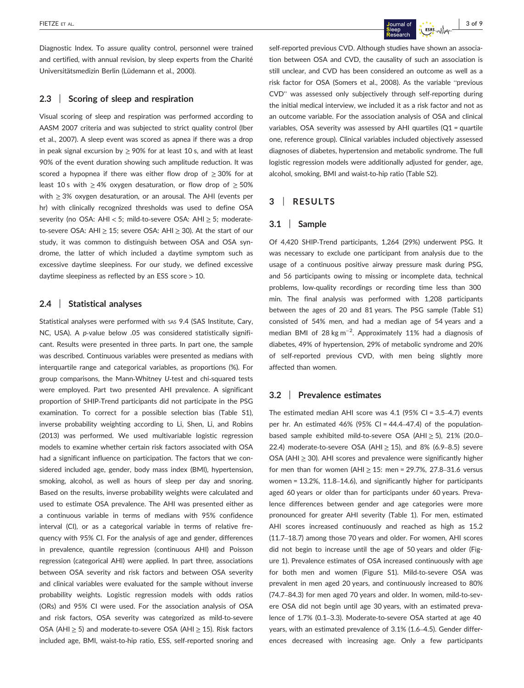Diagnostic Index. To assure quality control, personnel were trained and certified, with annual revision, by sleep experts from the Charité Universitätsmedizin Berlin (Lüdemann et al., 2000).

## **2.3** | **Scoring of sleep and respiration**

Visual scoring of sleep and respiration was performed according to AASM 2007 criteria and was subjected to strict quality control (Iber et al., 2007). A sleep event was scored as apnea if there was a drop in peak signal excursion by  $\geq$  90% for at least 10 s, and with at least 90% of the event duration showing such amplitude reduction. It was scored a hypopnea if there was either flow drop of  $\geq$  30% for at least 10 s with  $\geq$  4% oxygen desaturation, or flow drop of  $\geq$  50% with  $\geq$  3% oxygen desaturation, or an arousal. The AHI (events per hr) with clinically recognized thresholds was used to define OSA severity (no OSA: AHI < 5; mild-to-severe OSA: AHI ≥ 5; moderateto-severe OSA: AHI  $\geq$  15; severe OSA: AHI  $\geq$  30). At the start of our study, it was common to distinguish between OSA and OSA syndrome, the latter of which included a daytime symptom such as excessive daytime sleepiness. For our study, we defined excessive daytime sleepiness as reflected by an ESS score > 10.

# **2.4** | **Statistical analyses**

Statistical analyses were performed with sas 9.4 (SAS Institute, Cary, NC, USA). A *p*-value below .05 was considered statistically significant. Results were presented in three parts. In part one, the sample was described. Continuous variables were presented as medians with interquartile range and categorical variables, as proportions (%). For group comparisons, the Mann-Whitney *U*-test and chi-squared tests were employed. Part two presented AHI prevalence. A significant proportion of SHIP‐Trend participants did not participate in the PSG examination. To correct for a possible selection bias (Table S1), inverse probability weighting according to Li, Shen, Li, and Robins (2013) was performed. We used multivariable logistic regression models to examine whether certain risk factors associated with OSA had a significant influence on participation. The factors that we considered included age, gender, body mass index (BMI), hypertension, smoking, alcohol, as well as hours of sleep per day and snoring. Based on the results, inverse probability weights were calculated and used to estimate OSA prevalence. The AHI was presented either as a continuous variable in terms of medians with 95% confidence interval (CI), or as a categorical variable in terms of relative frequency with 95% CI. For the analysis of age and gender, differences in prevalence, quantile regression (continuous AHI) and Poisson regression (categorical AHI) were applied. In part three, associations between OSA severity and risk factors and between OSA severity and clinical variables were evaluated for the sample without inverse probability weights. Logistic regression models with odds ratios (ORs) and 95% CI were used. For the association analysis of OSA and risk factors, OSA severity was categorized as mild‐to‐severe OSA (AHI ≥ 5) and moderate‐to‐severe OSA (AHI ≥ 15). Risk factors included age, BMI, waist‐to‐hip ratio, ESS, self‐reported snoring and self-reported previous CVD. Although studies have shown an association between OSA and CVD, the causality of such an association is still unclear, and CVD has been considered an outcome as well as a risk factor for OSA (Somers et al., 2008). As the variable "previous CVD" was assessed only subjectively through self‐reporting during the initial medical interview, we included it as a risk factor and not as an outcome variable. For the association analysis of OSA and clinical variables, OSA severity was assessed by AHI quartiles (Q1 = quartile one, reference group). Clinical variables included objectively assessed diagnoses of diabetes, hypertension and metabolic syndrome. The full logistic regression models were additionally adjusted for gender, age, alcohol, smoking, BMI and waist‐to‐hip ratio (Table S2).

## **3** | **RESULTS**

## **3.1** | **Sample**

Of 4,420 SHIP‐Trend participants, 1,264 (29%) underwent PSG. It was necessary to exclude one participant from analysis due to the usage of a continuous positive airway pressure mask during PSG, and 56 participants owing to missing or incomplete data, technical problems, low-quality recordings or recording time less than 300 min. The final analysis was performed with 1,208 participants between the ages of 20 and 81 years. The PSG sample (Table S1) consisted of 54% men, and had a median age of 54 years and a median BMI of 28 kg m<sup>-2</sup>. Approximately 11% had a diagnosis of diabetes, 49% of hypertension, 29% of metabolic syndrome and 20% of self‐reported previous CVD, with men being slightly more affected than women.

## **3.2** | **Prevalence estimates**

The estimated median AHI score was 4.1 (95% CI = 3.5–4.7) events per hr. An estimated 46% (95% CI =  $44.4-47.4$ ) of the populationbased sample exhibited mild‐to‐severe OSA (AHI ≥ 5), 21% (20.0– 22.4) moderate-to-severe OSA (AHI  $\geq$  15), and 8% (6.9–8.5) severe OSA (AHI  $\geq$  30). AHI scores and prevalence were significantly higher for men than for women (AHI  $\geq$  15: men = 29.7%, 27.8-31.6 versus women = 13.2%, 11.8–14.6), and significantly higher for participants aged 60 years or older than for participants under 60 years. Prevalence differences between gender and age categories were more pronounced for greater AHI severity (Table 1). For men, estimated AHI scores increased continuously and reached as high as 15.2 (11.7–18.7) among those 70 years and older. For women, AHI scores did not begin to increase until the age of 50 years and older (Figure 1). Prevalence estimates of OSA increased continuously with age for both men and women (Figure S1). Mild-to-severe OSA was prevalent in men aged 20 years, and continuously increased to 80% (74.7–84.3) for men aged 70 years and older. In women, mild‐to‐severe OSA did not begin until age 30 years, with an estimated prevalence of 1.7% (0.1–3.3). Moderate-to-severe OSA started at age 40 years, with an estimated prevalence of 3.1% (1.6–4.5). Gender differences decreased with increasing age. Only a few participants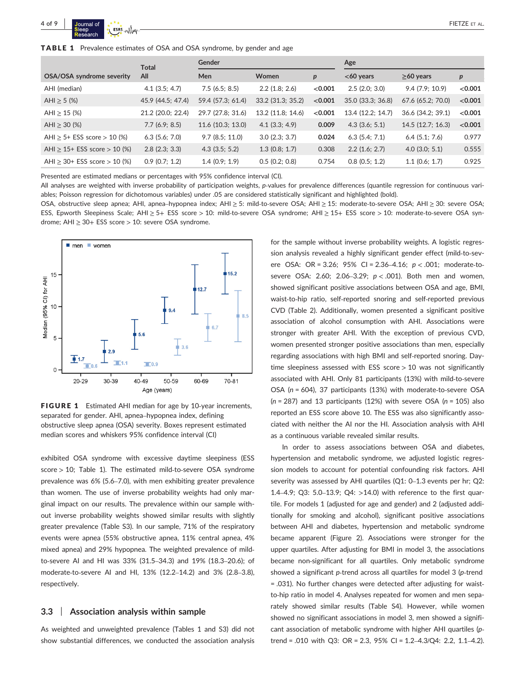|                                     | <b>Total</b>            | Gender            |                   |                  | Age               |                   |                  |
|-------------------------------------|-------------------------|-------------------|-------------------|------------------|-------------------|-------------------|------------------|
| OSA/OSA syndrome severity           | All                     | Men               | Women             | $\boldsymbol{p}$ | $<$ 60 years      | $\geq$ 60 years   | $\boldsymbol{p}$ |
| AHI (median)                        | $4.1$ (3.5; 4.7)        | 7.5(6.5; 8.5)     | 2.2(1.8; 2.6)     | < 0.001          | 2.5(2.0; 3.0)     | 9.4(7.9; 10.9)    | < 0.001          |
| AHI $\ge$ 5 (%)                     | 45.9 (44.5; 47.4)       | 59.4 (57.3; 61.4) | 33.2 (31.3; 35.2) | < 0.001          | 35.0 (33.3; 36.8) | 67.6 (65.2; 70.0) | < 0.001          |
| AHI $\geq$ 15 (%)                   | 21.2 (20.0; 22.4)       | 29.7 (27.8; 31.6) | 13.2 (11.8; 14.6) | < 0.001          | 13.4 (12.2; 14.7) | 36.6 (34.2; 39.1) | < 0.001          |
| AHI $\geq$ 30 (%)                   | 7.7(6.9; 8.5)           | 11.6(10.3; 13.0)  | $4.1$ (3.3; 4.9)  | 0.009            | $4.3$ (3.6; 5.1)  | 14.5(12.7; 16.3)  | < 0.001          |
| AHI $\ge$ 5+ ESS score $>$ 10 (%)   | $6.3$ (5.6; 7.0)        | 9.7(8.5; 11.0)    | 3.0(2.3; 3.7)     | 0.024            | 6.3(5.4; 7.1)     | $6.4$ (5.1; 7.6)  | 0.977            |
| AHI $\geq$ 15+ ESS score $>$ 10 (%) | $2.8$ ( $2.3$ ; $3.3$ ) | $4.3$ (3.5; 5.2)  | 1.3(0.8; 1.7)     | 0.308            | $2.2$ (1.6; 2.7)  | $4.0$ (3.0; 5.1)  | 0.555            |
| AHI $\geq$ 30+ ESS score $>$ 10 (%) | 0.9(0.7; 1.2)           | 1.4(0.9; 1.9)     | 0.5(0.2; 0.8)     | 0.754            | $0.8$ (0.5; 1.2)  | $1.1$ (0.6; 1.7)  | 0.925            |

Presented are estimated medians or percentages with 95% confidence interval (CI).

All analyses are weighted with inverse probability of participation weights, p-values for prevalence differences (quantile regression for continuous variables; Poisson regression for dichotomous variables) under .05 are considered statistically significant and highlighted (bold).

OSA, obstructive sleep apnea; AHI, apnea–hypopnea index; AHI ≥ 5: mild‐to‐severe OSA; AHI ≥ 15: moderate‐to‐severe OSA; AHI ≥ 30: severe OSA; ESS, Epworth Sleepiness Scale; AHI ≥ 5+ ESS score > 10: mild-to-severe OSA syndrome; AHI ≥ 15+ ESS score > 10: moderate-to-severe OSA syndrome; AHI  $\geq$  30+ ESS score  $>$  10: severe OSA syndrome.



FIGURE 1 Estimated AHI median for age by 10-year increments, separated for gender. AHI, apnea–hypopnea index, defining obstructive sleep apnea (OSA) severity. Boxes represent estimated median scores and whiskers 95% confidence interval (CI)

exhibited OSA syndrome with excessive daytime sleepiness (ESS score > 10; Table 1). The estimated mild-to-severe OSA syndrome prevalence was 6% (5.6–7.0), with men exhibiting greater prevalence than women. The use of inverse probability weights had only marginal impact on our results. The prevalence within our sample without inverse probability weights showed similar results with slightly greater prevalence (Table S3). In our sample, 71% of the respiratory events were apnea (55% obstructive apnea, 11% central apnea, 4% mixed apnea) and 29% hypopnea. The weighted prevalence of mild‐ to‐severe AI and HI was 33% (31.5–34.3) and 19% (18.3–20.6); of moderate‐to‐severe AI and HI, 13% (12.2–14.2) and 3% (2.8–3.8), respectively.

## **3.3** | **Association analysis within sample**

As weighted and unweighted prevalence (Tables 1 and S3) did not show substantial differences, we conducted the association analysis for the sample without inverse probability weights. A logistic regression analysis revealed a highly significant gender effect (mild‐to‐severe OSA: OR = 3.26; 95% CI = 2.36-4.16;  $p < .001$ ; moderate-tosevere OSA: 2.60; 2.06–3.29; *p* < .001). Both men and women, showed significant positive associations between OSA and age, BMI, waist-to-hip ratio, self-reported snoring and self-reported previous CVD (Table 2). Additionally, women presented a significant positive association of alcohol consumption with AHI. Associations were stronger with greater AHI. With the exception of previous CVD, women presented stronger positive associations than men, especially regarding associations with high BMI and self‐reported snoring. Daytime sleepiness assessed with ESS score  $> 10$  was not significantly associated with AHI. Only 81 participants (13%) with mild‐to‐severe OSA (*n* = 604), 37 participants (13%) with moderate‐to‐severe OSA (*n* = 287) and 13 participants (12%) with severe OSA (*n* = 105) also reported an ESS score above 10. The ESS was also significantly associated with neither the AI nor the HI. Association analysis with AHI as a continuous variable revealed similar results.

In order to assess associations between OSA and diabetes, hypertension and metabolic syndrome, we adjusted logistic regression models to account for potential confounding risk factors. AHI severity was assessed by AHI quartiles (Q1: 0–1.3 events per hr; Q2: 1.4–4.9; Q3: 5.0–13.9; Q4: >14.0) with reference to the first quartile. For models 1 (adjusted for age and gender) and 2 (adjusted additionally for smoking and alcohol), significant positive associations between AHI and diabetes, hypertension and metabolic syndrome became apparent (Figure 2). Associations were stronger for the upper quartiles. After adjusting for BMI in model 3, the associations became non-significant for all quartiles. Only metabolic syndrome showed a significant *p*-trend across all quartiles for model 3 (*p*-trend = .031). No further changes were detected after adjusting for waist‐ to-hip ratio in model 4. Analyses repeated for women and men separately showed similar results (Table S4). However, while women showed no significant associations in model 3, men showed a significant association of metabolic syndrome with higher AHI quartiles (*p*‐ trend = .010 with Q3: OR = 2.3, 95% CI = 1.2–4.3/Q4: 2.2, 1.1–4.2).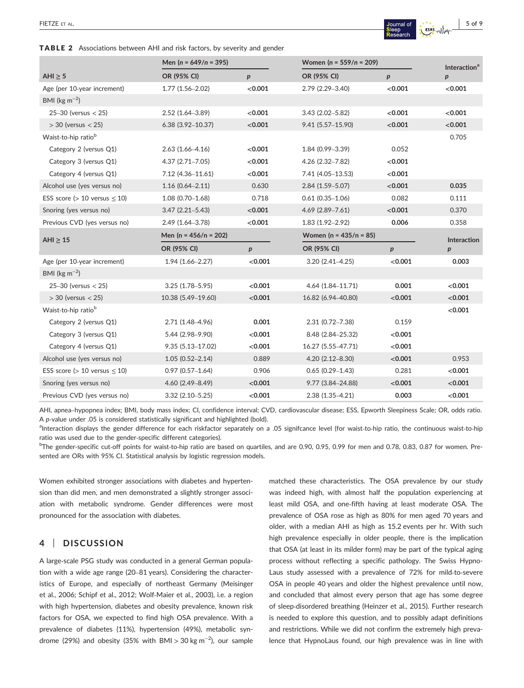## TABLE 2 Associations between AHI and risk factors, by severity and gender

|                                       | Men ( $n = 649/n = 395$ ) |                  | Women ( $n = 559/n = 209$ ) |                  | <b>Interaction</b> <sup>a</sup> |  |
|---------------------------------------|---------------------------|------------------|-----------------------------|------------------|---------------------------------|--|
| AHI $\geq$ 5                          | OR (95% CI)               | p                | OR (95% CI)                 | $\boldsymbol{p}$ | $\boldsymbol{p}$                |  |
| Age (per 10-year increment)           | $1.77(1.56 - 2.02)$       | < 0.001          | 2.79 (2.29-3.40)            | < 0.001          | < 0.001                         |  |
| BMI ( $\text{kg m}^{-2}$ )            |                           |                  |                             |                  |                                 |  |
| $25 - 30$ (versus < 25)               | 2.52 (1.64-3.89)          | < 0.001          | $3.43(2.02 - 5.82)$         | < 0.001          | < 0.001                         |  |
| $>$ 30 (versus $<$ 25)                | $6.38(3.92 - 10.37)$      | < 0.001          | 9.41 (5.57-15.90)           | < 0.001          | < 0.001                         |  |
| Waist-to-hip ratio <sup>b</sup>       |                           |                  |                             |                  | 0.705                           |  |
| Category 2 (versus Q1)                | $2.63(1.66 - 4.16)$       | < 0.001          | $1.84(0.99 - 3.39)$         | 0.052            |                                 |  |
| Category 3 (versus Q1)                | $4.37(2.71 - 7.05)$       | < 0.001          | 4.26 (2.32-7.82)            | < 0.001          |                                 |  |
| Category 4 (versus Q1)                | 7.12 (4.36-11.61)         | < 0.001          | 7.41 (4.05-13.53)           | < 0.001          |                                 |  |
| Alcohol use (yes versus no)           | $1.16(0.64 - 2.11)$       | 0.630            | $2.84(1.59 - 5.07)$         | < 0.001          | 0.035                           |  |
| ESS score ( $> 10$ versus $\leq 10$ ) | $1.08(0.70 - 1.68)$       | 0.718            | $0.61(0.35 - 1.06)$         | 0.082            | 0.111                           |  |
| Snoring (yes versus no)               | $3.47(2.21 - 5.43)$       | < 0.001          | $4.69$ (2.89-7.61)          | < 0.001          | 0.370                           |  |
| Previous CVD (yes versus no)          | 2.49 (1.64-3.78)          | < 0.001          | $1.83(1.92 - 2.92)$         | 0.006            | 0.358                           |  |
| $AHI \geq 15$                         | Men (n = $456/n = 202$ )  |                  | Women ( $n = 435/n = 85$ )  |                  | <b>Interaction</b>              |  |
|                                       | OR (95% CI)               | $\boldsymbol{p}$ | OR (95% CI)                 | $\boldsymbol{p}$ | p                               |  |
| Age (per 10-year increment)           | $1.94(1.66 - 2.27)$       | < 0.001          | $3.20(2.41 - 4.25)$         | < 0.001          | 0.003                           |  |
| BMI ( $\text{kg m}^{-2}$ )            |                           |                  |                             |                  |                                 |  |
| $25 - 30$ (versus $< 25$ )            | $3.25(1.78 - 5.95)$       | < 0.001          | 4.64 (1.84-11.71)           | 0.001            | < 0.001                         |  |
| $>$ 30 (versus $<$ 25)                | 10.38 (5.49-19.60)        | < 0.001          | 16.82 (6.94-40.80)          | < 0.001          | < 0.001                         |  |
| Waist-to-hip ratio <sup>b</sup>       |                           |                  |                             |                  | < 0.001                         |  |
| Category 2 (versus Q1)                | $2.71(1.48 - 4.96)$       | 0.001            | 2.31 (0.72-7.38)            | 0.159            |                                 |  |
| Category 3 (versus Q1)                | 5.44 (2.98-9.90)          | < 0.001          | 8.48 (2.84-25.32)           | < 0.001          |                                 |  |
| Category 4 (versus Q1)                | $9.35(5.13 - 17.02)$      | < 0.001          | 16.27 (5.55-47.71)          | < 0.001          |                                 |  |
| Alcohol use (yes versus no)           | $1.05(0.52 - 2.14)$       | 0.889            | $4.20(2.12 - 8.30)$         | < 0.001          | 0.953                           |  |
| ESS score ( $> 10$ versus $\leq 10$ ) | $0.97(0.57 - 1.64)$       | 0.906            | $0.65(0.29 - 1.43)$         | 0.281            | < 0.001                         |  |
| Snoring (yes versus no)               | 4.60 (2.49-8.49)          | < 0.001          | 9.77 (3.84-24.88)           | < 0.001          | < 0.001                         |  |
| Previous CVD (yes versus no)          | $3.32(2.10 - 5.25)$       | < 0.001          | 2.38 (1.35-4.21)            | 0.003            | < 0.001                         |  |

AHI, apnea–hypopnea index; BMI, body mass index; CI, confidence interval; CVD, cardiovascular disease; ESS, Epworth Sleepiness Scale; OR, odds ratio. A *p*-value under .05 is considered statistically significant and highlighted (bold).

alnteraction displays the gender difference for each riskfactor separately on a .05 signifcance level (for waist‐to‐hip ratio, the continuous waist‐to‐hip ratio was used due to the gender‐specific different categories).

bThe gender-specific cut-off points for waist-to-hip ratio are based on quartiles, and are 0.90, 0.95, 0.99 for men and 0.78, 0.83, 0.87 for women. Presented are ORs with 95% CI. Statistical analysis by logistic regression models.

Women exhibited stronger associations with diabetes and hypertension than did men, and men demonstrated a slightly stronger association with metabolic syndrome. Gender differences were most pronounced for the association with diabetes.

# **4** | **DISCUSSION**

A large‐scale PSG study was conducted in a general German population with a wide age range (20–81 years). Considering the characteristics of Europe, and especially of northeast Germany (Meisinger et al., 2006; Schipf et al., 2012; Wolf‐Maier et al., 2003), i.e. a region with high hypertension, diabetes and obesity prevalence, known risk factors for OSA, we expected to find high OSA prevalence. With a prevalence of diabetes (11%), hypertension (49%), metabolic syndrome (29%) and obesity (35% with BMI > 30 kg m<sup>-2</sup>), our sample

matched these characteristics. The OSA prevalence by our study was indeed high, with almost half the population experiencing at least mild OSA, and one‐fifth having at least moderate OSA. The prevalence of OSA rose as high as 80% for men aged 70 years and older, with a median AHI as high as 15.2 events per hr. With such high prevalence especially in older people, there is the implication that OSA (at least in its milder form) may be part of the typical aging process without reflecting a specific pathology. The Swiss Hypno-Laus study assessed with a prevalence of 72% for mild‐to‐severe OSA in people 40 years and older the highest prevalence until now, and concluded that almost every person that age has some degree of sleep‐disordered breathing (Heinzer et al., 2015). Further research is needed to explore this question, and to possibly adapt definitions and restrictions. While we did not confirm the extremely high prevalence that HypnoLaus found, our high prevalence was in line with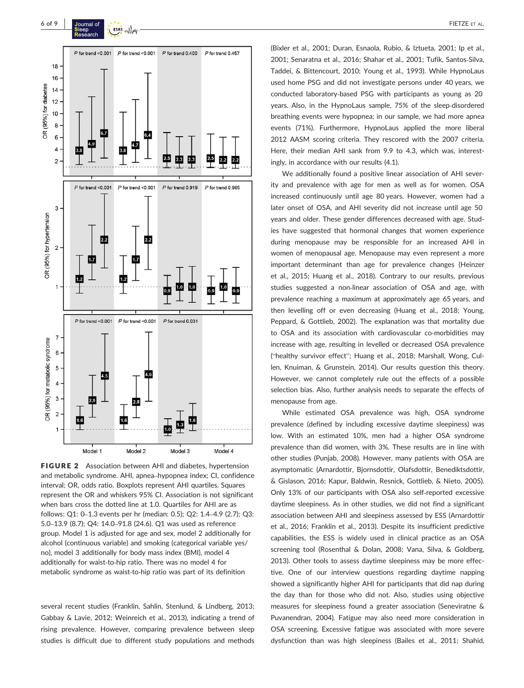

FIGURE 2 Association between AHI and diabetes, hypertension and metabolic syndrome. AHI, apnea–hypopnea index; CI, confidence interval; OR, odds ratio. Boxplots represent AHI quartiles. Squares represent the OR and whiskers 95% CI. Association is not significant when bars cross the dotted line at 1.0. Quartiles for AHI are as follows: Q1: 0–1.3 events per hr (median: 0.5); Q2: 1.4–4.9 (2.7); Q3: 5.0–13.9 (8.7); Q4: 14.0–91.8 (24.6). Q1 was used as reference group. Model 1 is adjusted for age and sex, model 2 additionally for alcohol (continuous variable) and smoking (categorical variable yes/ no), model 3 additionally for body mass index (BMI), model 4 additionally for waist-to-hip ratio. There was no model 4 for metabolic syndrome as waist‐to‐hip ratio was part of its definition

several recent studies (Franklin, Sahlin, Stenlund, & Lindberg, 2013; Gabbay & Lavie, 2012; Weinreich et al., 2013), indicating a trend of rising prevalence. However, comparing prevalence between sleep studies is difficult due to different study populations and methods (Bixler et al., 2001; Duran, Esnaola, Rubio, & Iztueta, 2001; Ip et al., 2001; Senaratna et al., 2016; Shahar et al., 2001; Tufik, Santos‐Silva, Taddei, & Bittencourt, 2010; Young et al., 1993). While HypnoLaus used home PSG and did not investigate persons under 40 years, we conducted laboratory‐based PSG with participants as young as 20 years. Also, in the HypnoLaus sample, 75% of the sleep-disordered breathing events were hypopnea; in our sample, we had more apnea events (71%). Furthermore, HypnoLaus applied the more liberal 2012 AASM scoring criteria. They rescored with the 2007 criteria. Here, their median AHI sank from 9.9 to 4.3, which was, interestingly, in accordance with our results (4.1).

We additionally found a positive linear association of AHI severity and prevalence with age for men as well as for women. OSA increased continuously until age 80 years. However, women had a later onset of OSA, and AHI severity did not increase until age 50 years and older. These gender differences decreased with age. Studies have suggested that hormonal changes that women experience during menopause may be responsible for an increased AHI in women of menopausal age. Menopause may even represent a more important determinant than age for prevalence changes (Heinzer et al., 2015; Huang et al., 2018). Contrary to our results, previous studies suggested a non‐linear association of OSA and age, with prevalence reaching a maximum at approximately age 65 years, and then levelling off or even decreasing (Huang et al., 2018; Young, Peppard, & Gottlieb, 2002). The explanation was that mortality due to OSA and its association with cardiovascular co-morbidities may increase with age, resulting in levelled or decreased OSA prevalence ("healthy survivor effect"; Huang et al., 2018; Marshall, Wong, Cullen, Knuiman, & Grunstein, 2014). Our results question this theory. However, we cannot completely rule out the effects of a possible selection bias. Also, further analysis needs to separate the effects of menopause from age.

While estimated OSA prevalence was high, OSA syndrome prevalence (defined by including excessive daytime sleepiness) was low. With an estimated 10%, men had a higher OSA syndrome prevalence than did women, with 3%. These results are in line with other studies (Punjab, 2008). However, many patients with OSA are asymptomatic (Arnardottir, Bjornsdottir, Olafsdottir, Benediktsdottir, & Gislason, 2016; Kapur, Baldwin, Resnick, Gottlieb, & Nieto, 2005). Only 13% of our participants with OSA also self‐reported excessive daytime sleepiness. As in other studies, we did not find a significant association between AHI and sleepiness assessed by ESS (Arnardottir et al., 2016; Franklin et al., 2013). Despite its insufficient predictive capabilities, the ESS is widely used in clinical practice as an OSA screening tool (Rosenthal & Dolan, 2008; Vana, Silva, & Goldberg, 2013). Other tools to assess daytime sleepiness may be more effective. One of our interview questions regarding daytime napping showed a significantly higher AHI for participants that did nap during the day than for those who did not. Also, studies using objective measures for sleepiness found a greater association (Seneviratne & Puvanendran, 2004). Fatigue may also need more consideration in OSA screening. Excessive fatigue was associated with more severe dysfunction than was high sleepiness (Bailes et al., 2011; Shahid,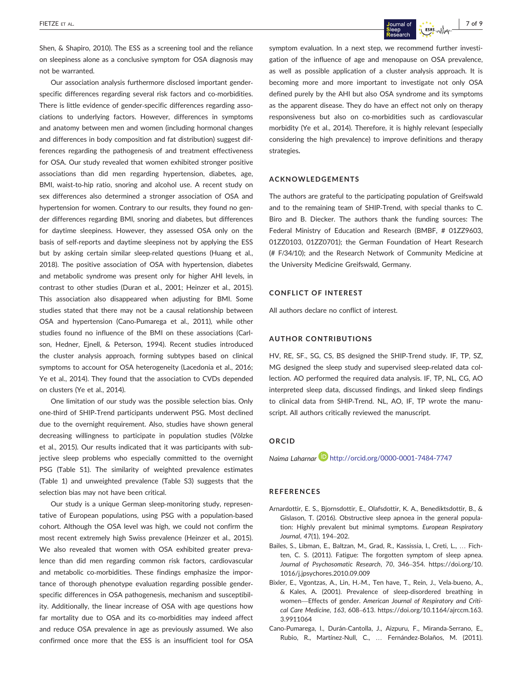Shen, & Shapiro, 2010). The ESS as a screening tool and the reliance on sleepiness alone as a conclusive symptom for OSA diagnosis may not be warranted.

Our association analysis furthermore disclosed important gender‐ specific differences regarding several risk factors and co-morbidities. There is little evidence of gender‐specific differences regarding associations to underlying factors. However, differences in symptoms and anatomy between men and women (including hormonal changes and differences in body composition and fat distribution) suggest differences regarding the pathogenesis of and treatment effectiveness for OSA. Our study revealed that women exhibited stronger positive associations than did men regarding hypertension, diabetes, age, BMI, waist-to-hip ratio, snoring and alcohol use. A recent study on sex differences also determined a stronger association of OSA and hypertension for women. Contrary to our results, they found no gender differences regarding BMI, snoring and diabetes, but differences for daytime sleepiness. However, they assessed OSA only on the basis of self‐reports and daytime sleepiness not by applying the ESS but by asking certain similar sleep-related questions (Huang et al., 2018). The positive association of OSA with hypertension, diabetes and metabolic syndrome was present only for higher AHI levels, in contrast to other studies (Duran et al., 2001; Heinzer et al., 2015). This association also disappeared when adjusting for BMI. Some studies stated that there may not be a causal relationship between OSA and hypertension (Cano‐Pumarega et al., 2011), while other studies found no influence of the BMI on these associations (Carlson, Hedner, Ejnell, & Peterson, 1994). Recent studies introduced the cluster analysis approach, forming subtypes based on clinical symptoms to account for OSA heterogeneity (Lacedonia et al., 2016; Ye et al., 2014). They found that the association to CVDs depended on clusters (Ye et al., 2014).

One limitation of our study was the possible selection bias. Only one‐third of SHIP‐Trend participants underwent PSG. Most declined due to the overnight requirement. Also, studies have shown general decreasing willingness to participate in population studies (Völzke et al., 2015). Our results indicated that it was participants with subjective sleep problems who especially committed to the overnight PSG (Table S1). The similarity of weighted prevalence estimates (Table 1) and unweighted prevalence (Table S3) suggests that the selection bias may not have been critical.

Our study is a unique German sleep-monitoring study, representative of European populations, using PSG with a population‐based cohort. Although the OSA level was high, we could not confirm the most recent extremely high Swiss prevalence (Heinzer et al., 2015). We also revealed that women with OSA exhibited greater prevalence than did men regarding common risk factors, cardiovascular and metabolic co-morbidities. These findings emphasize the importance of thorough phenotype evaluation regarding possible gender‐ specific differences in OSA pathogenesis, mechanism and susceptibility. Additionally, the linear increase of OSA with age questions how far mortality due to OSA and its co-morbidities may indeed affect and reduce OSA prevalence in age as previously assumed. We also confirmed once more that the ESS is an insufficient tool for OSA

symptom evaluation. In a next step, we recommend further investigation of the influence of age and menopause on OSA prevalence, as well as possible application of a cluster analysis approach. It is becoming more and more important to investigate not only OSA defined purely by the AHI but also OSA syndrome and its symptoms as the apparent disease. They do have an effect not only on therapy responsiveness but also on co-morbidities such as cardiovascular morbidity (Ye et al., 2014). Therefore, it is highly relevant (especially considering the high prevalence) to improve definitions and therapy strategies**.**

## **ACKNOWLEDGEMENTS**

The authors are grateful to the participating population of Greifswald and to the remaining team of SHIP‐Trend, with special thanks to C. Biro and B. Diecker. The authors thank the funding sources: The Federal Ministry of Education and Research (BMBF, # 01ZZ9603, 01ZZ0103, 01ZZ0701); the German Foundation of Heart Research (# F/34/10); and the Research Network of Community Medicine at the University Medicine Greifswald, Germany.

#### **CONFLICT OF INTEREST**

All authors declare no conflict of interest.

#### **AUTHOR CONTRIBUTIONS**

HV, RE, SF., SG, CS, BS designed the SHIP-Trend study. IF, TP, SZ, MG designed the sleep study and supervised sleep-related data collection. AO performed the required data analysis. IF, TP, NL, CG, AO interpreted sleep data, discussed findings, and linked sleep findings to clinical data from SHIP‐Trend. NL, AO, IF, TP wrote the manuscript. All authors critically reviewed the manuscript.

## **ORCID**

*Naima Laharnar* http://orcid.org/0000-0001-7484-7747

## **REFERENCES**

- Arnardottir, E. S., Bjornsdottir, E., Olafsdottir, K. A., Benediktsdottir, B., & Gislason, T. (2016). Obstructive sleep apnoea in the general population: Highly prevalent but minimal symptoms. *European Respiratory Journal*, *47*(1), 194–202.
- Bailes, S., Libman, E., Baltzan, M., Grad, R., Kassissia, I., Creti, L., … Fichten, C. S. (2011). Fatigue: The forgotten symptom of sleep apnea. *Journal of Psychosomatic Research*, *70*, 346–354. [https://doi.org/10.](https://doi.org/10.1016/j.jpsychores.2010.09.009) [1016/j.jpsychores.2010.09.009](https://doi.org/10.1016/j.jpsychores.2010.09.009)
- Bixler, E., Vgontzas, A., Lin, H.‐M., Ten have, T., Rein, J., Vela‐bueno, A., & Kales, A. (2001). Prevalence of sleep‐disordered breathing in women—Effects of gender. *American Journal of Respiratory and Critical Care Medicine*, *163*, 608–613. [https://doi.org/10.1164/ajrccm.163.](https://doi.org/10.1164/ajrccm.163.3.9911064) [3.9911064](https://doi.org/10.1164/ajrccm.163.3.9911064)
- Cano‐Pumarega, I., Durán‐Cantolla, J., Aizpuru, F., Miranda‐Serrano, E., Rubio, R., Martínez‐Null, C., … Fernández‐Bolaños, M. (2011).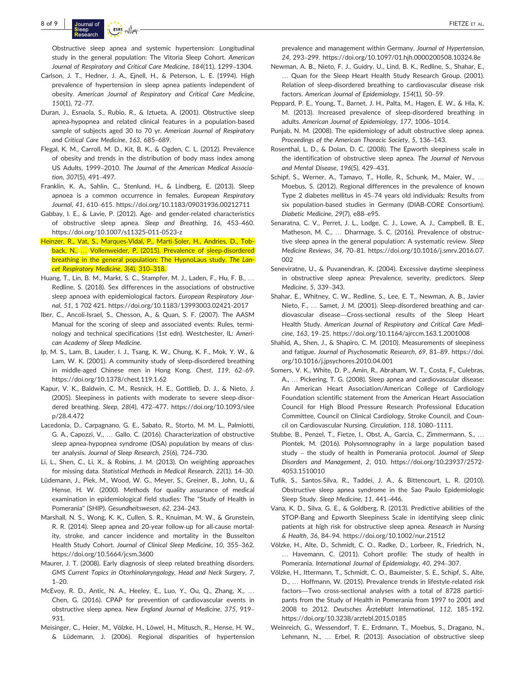Obstructive sleep apnea and systemic hypertension: Longitudinal study in the general population: The Vitoria Sleep Cohort. *American Journal of Respiratory and Critical Care Medicine*, *184*(11), 1299–1304.

- Carlson, J. T., Hedner, J. A., Ejnell, H., & Peterson, L. E. (1994). High prevalence of hypertension in sleep apnea patients independent of obesity. *American Journal of Respiratory and Critical Care Medicine*, *150*(1), 72–77.
- Duran, J., Esnaola, S., Rubio, R., & Iztueta, A. (2001). Obstructive sleep apnea‐hypopnea and related clinical features in a population‐based sample of subjects aged 30 to 70 yr. *American Journal of Respiratory and Critical Care Medicine*, *163*, 685–689.
- Flegal, K. M., Carroll, M. D., Kit, B. K., & Ogden, C. L. (2012). Prevalence of obesity and trends in the distribution of body mass index among US Adults, 1999–2010. *The Journal of the American Medical Association*, *307*(5), 491–497.
- Franklin, K. A., Sahlin, C., Stenlund, H., & Lindberg, E. (2013). Sleep apnoea is a common occurrence in females. *European Respiratory Journal*, *41*, 610–615.<https://doi.org/10.1183/09031936.00212711>
- Gabbay, I. E., & Lavie, P. (2012). Age‐ and gender‐related characteristics of obstructive sleep apnea. *Sleep and Breathing*, *16*, 453–460. <https://doi.org/10.1007/s11325-011-0523-z>
- Heinzer, R., Vat, S., Marques‐Vidal, P., Marti‐Soler, H., Andries, D., Tobback, N., ... Vollenweider, P. (2015). Prevalence of sleep-disordered breathing in the general population: The HypnoLaus study. *The Lancet Respiratory Medicine*, *3*(4), 310–318.
- Huang, T., Lin, B. M., Markt, S. C., Stampfer, M. J., Laden, F., Hu, F. B., … Redline, S. (2018). Sex differences in the associations of obstructive sleep apnoea with epidemiological factors. *European Respiratory Journal*, *51*, 1 702 421.<https://doi.org/10.1183/13993003.02421-2017>
- Iber, C., Ancoli‐Israel, S., Chesson, A., & Quan, S. F. (2007). The AASM Manual for the scoring of sleep and associated events: Rules, terminology and technical specifications (1st edn). Westchester, IL: *American Academy of Sleep Medicine*.
- Ip, M. S., Lam, B., Lauder, I. J., Tsang, K. W., Chung, K. F., Mok, Y. W., & Lam, W. K. (2001). A community study of sleep-disordered breathing in middle‐aged Chinese men in Hong Kong. *Chest*, *119*, 62–69. <https://doi.org/10.1378/chest.119.1.62>
- Kapur, V. K., Baldwin, C. M., Resnick, H. E., Gottlieb, D. J., & Nieto, J. (2005). Sleepiness in patients with moderate to severe sleep-disordered breathing. *Sleep*, *28*(4), 472–477. [https://doi.org/10.1093/slee](https://doi.org/10.1093/sleep/28.4.472) [p/28.4.472](https://doi.org/10.1093/sleep/28.4.472)
- Lacedonia, D., Carpagnano, G. E., Sabato, R., Storto, M. M. L., Palmiotti, G. A., Capozzi, V., … Gallo, C. (2016). Characterization of obstructive sleep apnea‐hypopnea syndrome (OSA) population by means of cluster analysis. *Journal of Sleep Research*, *25*(6), 724–730.
- Li, L., Shen, C., Li, X., & Robins, J. M. (2013). On weighting approaches for missing data. *Statistical Methods in Medical Research*, *22*(1), 14–30.
- Lüdemann, J., Piek, M., Wood, W. G., Meyer, S., Greiner, B., John, U., & Hense, H. W. (2000). Methods for quality assurance of medical examination in epidemiological field studies: The "Study of Health in Pomerania" (SHIP). *Gesundheitswesen*, *62*, 234–243.
- Marshall, N. S., Wong, K. K., Cullen, S. R., Knuiman, M. W., & Grunstein, R. R. (2014). Sleep apnea and 20‐year follow‐up for all‐cause mortality, stroke, and cancer incidence and mortality in the Busselton Health Study Cohort. *Journal of Clinical Sleep Medicine*, *10*, 355–362. <https://doi.org/10.5664/jcsm.3600>
- Maurer, J. T. (2008). Early diagnosis of sleep related breathing disorders. *GMS Current Topics in Otorhinolaryngology, Head and Neck Surgery*, *7*,  $1 - 20$
- McEvoy, R. D., Antic, N. A., Heeley, E., Luo, Y., Ou, Q., Zhang, X., … Chen, G. (2016). CPAP for prevention of cardiovascular events in obstructive sleep apnea. *New England Journal of Medicine*, *375*, 919– 931.
- Meisinger, C., Heier, M., Völzke, H., Löwel, H., Mitusch, R., Hense, H. W., & Lüdemann, J. (2006). Regional disparities of hypertension

prevalence and management within Germany. *Journal of Hypertension*, *24*, 293–299.<https://doi.org/10.1097/01.hjh.0000200508.10324.8e>

- Newman, A. B., Nieto, F. J., Guidry, U., Lind, B. K., Redline, S., Shahar, E., … Quan for the Sleep Heart Health Study Research Group. (2001). Relation of sleep‐disordered breathing to cardiovascular disease risk factors. *American Journal of Epidemiology*, *154*(1), 50–59.
- Peppard, P. E., Young, T., Barnet, J. H., Palta, M., Hagen, E. W., & Hla, K. M. (2013). Increased prevalence of sleep‐disordered breathing in adults. *American Journal of Epidemiology*, *177*, 1006–1014.
- Punjab, N. M. (2008). The epidemiology of adult obstructive sleep apnea. *Proceedings of the American Thoracic Society*, *5*, 136–143.
- Rosenthal, L. D., & Dolan, D. C. (2008). The Epworth sleepiness scale in the identification of obstructive sleep apnea. *The Journal of Nervous and Mental Disease*, *196*(5), 429–431.
- Schipf, S., Werner, A., Tamayo, T., Holle, R., Schunk, M., Maier, W., … Moebus, S. (2012). Regional differences in the prevalence of known Type 2 diabetes mellitus in 45–74 years old individuals: Results from six population-based studies in Germany (DIAB-CORE Consortium). *Diabetic Medicine*, *29*(7), e88–e95.
- Senaratna, C. V., Perret, J. L., Lodge, C. J., Lowe, A. J., Campbell, B. E., Matheson, M. C., … Dharmage, S. C. (2016). Prevalence of obstructive sleep apnea in the general population: A systematic review. *Sleep Medicine Reviews*, *34*, 70–81. [https://doi.org/10.1016/j.smrv.2016.07.](https://doi.org/10.1016/j.smrv.2016.07.002) [002](https://doi.org/10.1016/j.smrv.2016.07.002)
- Seneviratne, U., & Puvanendran, K. (2004). Excessive daytime sleepiness in obstructive sleep apnea: Prevalence, severity, predictors. *Sleep Medicine*, *5*, 339–343.
- Shahar, E., Whitney, C. W., Redline, S., Lee, E. T., Newman, A. B., Javier Nieto, F., … Samet, J. M. (2001). Sleep‐disordered breathing and cardiovascular disease—Cross‐sectional results of the Sleep Heart Health Study. *American Journal of Respiratory and Critical Care Medicine*, *163*, 19–25.<https://doi.org/10.1164/ajrccm.163.1.2001008>
- Shahid, A., Shen, J., & Shapiro, C. M. (2010). Measurements of sleepiness and fatigue. *Journal of Psychosomatic Research*, *69*, 81–89. [https://doi.](https://doi.org/10.1016/j.jpsychores.2010.04.001) [org/10.1016/j.jpsychores.2010.04.001](https://doi.org/10.1016/j.jpsychores.2010.04.001)
- Somers, V. K., White, D. P., Amin, R., Abraham, W. T., Costa, F., Culebras, A., … Pickering, T. G. (2008). Sleep apnea and cardiovascular disease: An American Heart Association/American College of Cardiology Foundation scientific statement from the American Heart Association Council for High Blood Pressure Research Professional Education Committee, Council on Clinical Cardiology, Stroke Council, and Council on Cardiovascular Nursing. *Circulation*, *118*, 1080–1111.
- Stubbe, B., Penzel, T., Fietze, I., Obst, A., Garcia, C., Zimmermann, S., … Piontek, M. (2016). Polysomnography in a large population based study – the study of health in Pomerania protocol. *Journal of Sleep Disorders and Management*, *2*, 010. [https://doi.org/10.23937/2572-](https://doi.org/10.23937/2572-4053.1510010) [4053.1510010](https://doi.org/10.23937/2572-4053.1510010)
- Tufik, S., Santos‐Silva, R., Taddei, J. A., & Bittencourt, L. R. (2010). Obstructive sleep apnea syndrome in the Sao Paulo Epidemiologic Sleep Study. *Sleep Medicine*, *11*, 441–446.
- Vana, K. D., Silva, G. E., & Goldberg, R. (2013). Predictive abilities of the STOP‐Bang and Epworth Sleepiness Scale in identifying sleep clinic patients at high risk for obstructive sleep apnea. *Research in Nursing & Health*, *36*, 84–94.<https://doi.org/10.1002/nur.21512>
- Völzke, H., Alte, D., Schmidt, C. O., Radke, D., Lorbeer, R., Friedrich, N., … Havemann, C. (2011). Cohort profile: The study of health in Pomerania. *International Journal of Epidemiology*, *40*, 294–307.
- Völzke, H., Ittermann, T., Schmidt, C. O., Baumeister, S. E., Schipf, S., Alte, D., ... Hoffmann, W. (2015). Prevalence trends in lifestyle-related risk factors—Two cross‐sectional analyses with a total of 8728 participants from the Study of Health in Pomerania from 1997 to 2001 and 2008 to 2012. *Deutsches Ärzteblatt International*, *112*, 185–192. <https://doi.org/10.3238/arztebl.2015.0185>
- Weinreich, G., Wessendorf, T. E., Erdmann, T., Moebus, S., Dragano, N., Lehmann, N., … Erbel, R. (2013). Association of obstructive sleep